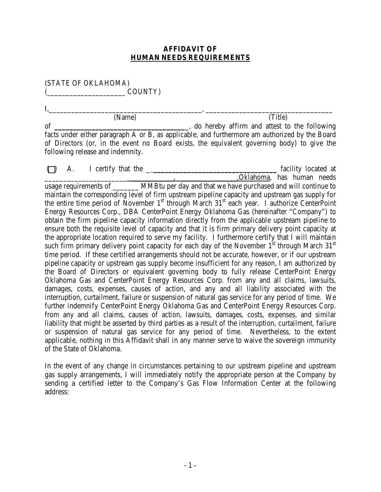## **AFFIDAVIT OF HUMAN NEEDS REQUIREMENTS**

(STATE OF OKLAHOMA) (COUNTY)

I,\_\_\_\_\_\_\_\_\_\_\_\_\_\_\_\_\_\_\_\_\_\_\_\_\_\_\_\_\_\_\_\_\_\_\_\_\_\_\_\_\_, \_\_\_\_\_\_\_\_\_\_\_\_\_\_\_\_\_\_\_\_\_\_\_\_\_\_\_\_\_\_\_\_\_\_ (Name) (Title) of \_\_\_\_\_\_\_\_\_\_\_\_\_\_\_\_\_\_\_\_\_\_\_\_\_\_\_\_\_\_\_\_\_\_\_\_, do hereby affirm and attest to the following facts under either paragraph A or B, as applicable, and furthermore am authorized by the Board of Directors (or, in the event no Board exists, the equivalent governing body) to give the following release and indemnity.

 $\Box$  A. I certify that the  $\Box$   $\Box$   $\Box$   $\Box$   $\Box$  I facility located at \_\_\_\_\_\_\_\_\_\_\_\_\_\_\_\_\_\_\_\_\_\_ \_\_\_\_\_\_\_\_\_\_\_, \_\_\_\_\_\_\_\_\_\_\_\_\_\_\_,Oklahoma, has human needs usage requirements of MMBtu per day and that we have purchased and will continue to maintain the corresponding level of firm upstream pipeline capacity and upstream gas supply for the entire time period of November 1<sup>st</sup> through March 31<sup>st</sup> each year. I authorize CenterPoint Energy Resources Corp., DBA CenterPoint Energy Oklahoma Gas (hereinafter "Company") to obtain the firm pipeline capacity information directly from the applicable upstream pipeline to ensure both the requisite level of capacity and that it is firm primary delivery point capacity at the appropriate location required to serve my facility. I furthermore certify that I will maintain such firm primary delivery point capacity for each day of the November  $1^{st}$  through March 31st time period. If these certified arrangements should not be accurate, however, or if our upstream pipeline capacity or upstream gas supply become insufficient for any reason, I am authorized by the Board of Directors or equivalent governing body to fully release CenterPoint Energy Oklahoma Gas and CenterPoint Energy Resources Corp. from any and all claims, lawsuits, damages, costs, expenses, causes of action, and any and all liability associated with the interruption, curtailment, failure or suspension of natural gas service for any period of time. We further indemnify CenterPoint Energy Oklahoma Gas and CenterPoint Energy Resources Corp. from any and all claims, causes of action, lawsuits, damages, costs, expenses, and similar liability that might be asserted by third parties as a result of the interruption, curtailment, failure or suspension of natural gas service for any period of time. Nevertheless, to the extent applicable, nothing in this Affidavit shall in any manner serve to waive the sovereign immunity of the State of Oklahoma.

In the event of any change in circumstances pertaining to our upstream pipeline and upstream gas supply arrangements, I will immediately notify the appropriate person at the Company by sending a certified letter to the Company's Gas Flow Information Center at the following address: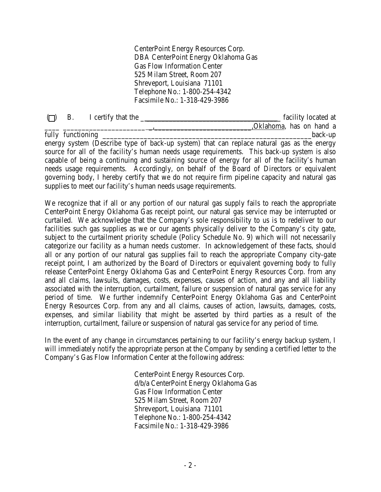CenterPoint Energy Resources Corp. DBA CenterPoint Energy Oklahoma Gas Gas Flow Information Center 525 Milam Street, Room 207 Shreveport, Louisiana 71101 Telephone No.: 1-800-254-4342 Facsimile No.: 1-318-429-3986

| (1) | В. | I certify that the $\frac{ }{ }$ |                                                                 | facility located at                                                                            |
|-----|----|----------------------------------|-----------------------------------------------------------------|------------------------------------------------------------------------------------------------|
|     |    |                                  |                                                                 | "Oklahoma, has on hand a                                                                       |
|     |    | fully functioning                |                                                                 | back-up                                                                                        |
|     |    |                                  |                                                                 | energy system (Describe type of back-up system) that can replace natural gas as the energy     |
|     |    |                                  |                                                                 | source for all of the facility's human needs usage requirements. This back-up system is also   |
|     |    |                                  |                                                                 | capable of being a continuing and sustaining source of energy for all of the facility's human  |
|     |    |                                  |                                                                 | needs usage requirements. Accordingly, on behalf of the Board of Directors or equivalent       |
|     |    |                                  |                                                                 | governing body, I hereby certify that we do not require firm pipeline capacity and natural gas |
|     |    |                                  | supplies to meet our facility's human needs usage requirements. |                                                                                                |

We recognize that if all or any portion of our natural gas supply fails to reach the appropriate CenterPoint Energy Oklahoma Gas receipt point, our natural gas service may be interrupted or curtailed. We acknowledge that the Company's sole responsibility to us is to redeliver to our facilities such gas supplies as we or our agents physically deliver to the Company's city gate, subject to the curtailment priority schedule (Policy Schedule No. 9) which will not necessarily categorize our facility as a human needs customer. In acknowledgement of these facts, should all or any portion of our natural gas supplies fail to reach the appropriate Company city-gate receipt point, I am authorized by the Board of Directors or equivalent governing body to fully release CenterPoint Energy Oklahoma Gas and CenterPoint Energy Resources Corp. from any and all claims, lawsuits, damages, costs, expenses, causes of action, and any and all liability associated with the interruption, curtailment, failure or suspension of natural gas service for any period of time. We further indemnify CenterPoint Energy Oklahoma Gas and CenterPoint Energy Resources Corp. from any and all claims, causes of action, lawsuits, damages, costs, expenses, and similar liability that might be asserted by third parties as a result of the interruption, curtailment, failure or suspension of natural gas service for any period of time.

In the event of any change in circumstances pertaining to our facility's energy backup system, I will immediately notify the appropriate person at the Company by sending a certified letter to the Company's Gas Flow Information Center at the following address:

> CenterPoint Energy Resources Corp. d/b/a CenterPoint Energy Oklahoma Gas Gas Flow Information Center 525 Milam Street, Room 207 Shreveport, Louisiana 71101 Telephone No.: 1-800-254-4342 Facsimile No.: 1-318-429-3986